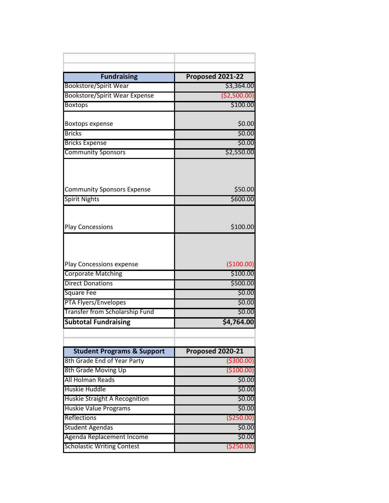| <b>Fundraising</b>                                   | Proposed 2021-22        |
|------------------------------------------------------|-------------------------|
| <b>Bookstore/Spirit Wear</b>                         | \$3,364.00              |
| <b>Bookstore/Spirit Wear Expense</b>                 | ( \$2,500.00]           |
| <b>Boxtops</b>                                       | \$100.00                |
|                                                      |                         |
| Boxtops expense                                      | \$0.00                  |
| <b>Bricks</b>                                        | \$0.00                  |
| <b>Bricks Expense</b>                                | \$0.00                  |
| <b>Community Sponsors</b>                            | \$2,550.00              |
|                                                      |                         |
| <b>Community Sponsors Expense</b>                    | \$50.00                 |
| <b>Spirit Nights</b>                                 | \$600.00                |
|                                                      |                         |
| <b>Play Concessions</b>                              | \$100.00                |
|                                                      |                         |
| Play Concessions expense                             | (\$100.00)              |
| <b>Corporate Matching</b><br><b>Direct Donations</b> | \$100.00                |
|                                                      | \$500.00<br>\$0.00      |
| <b>Square Fee</b><br>PTA Flyers/Envelopes            | \$0.00                  |
| Transfer from Scholarship Fund                       | \$0.00                  |
| <b>Subtotal Fundraising</b>                          | \$4,764.00              |
|                                                      |                         |
|                                                      |                         |
| <b>Student Programs &amp; Support</b>                | <b>Proposed 2020-21</b> |
| 8th Grade End of Year Party                          | ( \$300.00)             |
| 8th Grade Moving Up                                  | ( \$100.00)             |
| All Holman Reads                                     | \$0.00                  |
| <b>Huskie Huddle</b>                                 | \$0.00                  |
| Huskie Straight A Recognition                        | \$0.00                  |
| <b>Huskie Value Programs</b>                         | 50.00                   |
| Reflections                                          | ( \$250.00)             |
| <b>Student Agendas</b>                               | \$0.00                  |
| Agenda Replacement Income                            | \$0.00                  |
| <b>Scholastic Writing Contest</b>                    | ( \$250.00)             |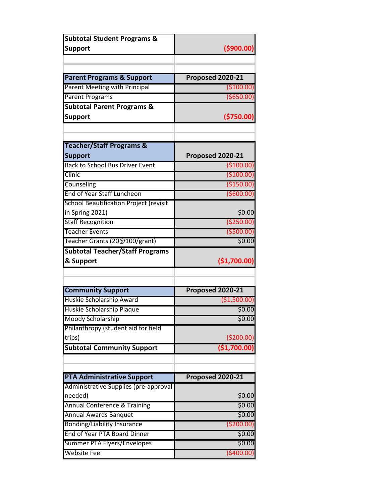| <b>Subtotal Student Programs &amp;</b>        |                         |
|-----------------------------------------------|-------------------------|
| <b>Support</b>                                | (\$900.00)              |
|                                               |                         |
| <b>Parent Programs &amp; Support</b>          | <b>Proposed 2020-21</b> |
| <b>Parent Meeting with Principal</b>          | ( \$100.00)             |
| <b>Parent Programs</b>                        | ( \$650.00)             |
| <b>Subtotal Parent Programs &amp;</b>         |                         |
| <b>Support</b>                                | ( \$750.00)             |
|                                               |                         |
| <b>Teacher/Staff Programs &amp;</b>           |                         |
| <b>Support</b>                                | Proposed 2020-21        |
| <b>Back to School Bus Driver Event</b>        | ( \$100.00)             |
| Clinic                                        | (\$100.00)              |
| Counseling                                    | (\$150.00)              |
| End of Year Staff Luncheon                    | (\$600.00)              |
| <b>School Beautification Project (revisit</b> |                         |
| in Spring 2021)                               | \$0.00                  |
| <b>Staff Recognition</b>                      | ( \$250.00)             |
| <b>Teacher Events</b>                         | $($ \$500.00)           |
| Teacher Grants (20@100/grant)                 | \$0.00                  |
| <b>Subtotal Teacher/Staff Programs</b>        |                         |
| & Support                                     | (\$1,700.00)            |
|                                               |                         |
|                                               |                         |
| <b>Community Support</b>                      | Proposed 2020-21        |
| Huskie Scholarship Award                      | ( \$1,500.00)           |
| Huskie Scholarship Plaque                     | \$0.00                  |
| Moody Scholarship                             | \$0.00                  |
| Philanthropy (student aid for field           |                         |
| trips)                                        | ( \$200.00)             |
| <b>Subtotal Community Support</b>             | (\$1,700.00)            |
|                                               |                         |
| <b>PTA Administrative Support</b>             | Proposed 2020-21        |
| Administrative Supplies (pre-approval         |                         |
| needed)                                       | \$0.00                  |
| <b>Annual Conference &amp; Training</b>       | \$0.00                  |
| <b>Annual Awards Banquet</b>                  | \$0.00                  |
| <b>Bonding/Liability Insurance</b>            | ( \$200.00)             |
| End of Year PTA Board Dinner                  | \$0.00                  |
| Summer PTA Flyers/Envelopes                   | \$0.00                  |
| <b>Website Fee</b>                            | ( \$400.00)             |